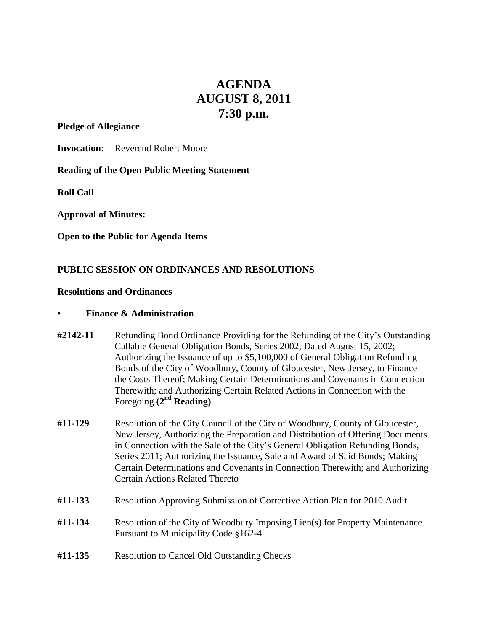# **AGENDA AUGUST 8, 2011 7:30 p.m.**

**Pledge of Allegiance**

**Invocation:** Reverend Robert Moore

**Reading of the Open Public Meeting Statement**

**Roll Call**

**Approval of Minutes:**

**Open to the Public for Agenda Items**

# **PUBLIC SESSION ON ORDINANCES AND RESOLUTIONS**

#### **Resolutions and Ordinances**

### **• Finance & Administration**

- **#2142-11** Refunding Bond Ordinance Providing for the Refunding of the City's Outstanding Callable General Obligation Bonds, Series 2002, Dated August 15, 2002; Authorizing the Issuance of up to \$5,100,000 of General Obligation Refunding Bonds of the City of Woodbury, County of Gloucester, New Jersey, to Finance the Costs Thereof; Making Certain Determinations and Covenants in Connection Therewith; and Authorizing Certain Related Actions in Connection with the Foregoing **(2nd Reading)**
- **#11-129** Resolution of the City Council of the City of Woodbury, County of Gloucester, New Jersey, Authorizing the Preparation and Distribution of Offering Documents in Connection with the Sale of the City's General Obligation Refunding Bonds, Series 2011; Authorizing the Issuance, Sale and Award of Said Bonds; Making Certain Determinations and Covenants in Connection Therewith; and Authorizing Certain Actions Related Thereto
- **#11-133** Resolution Approving Submission of Corrective Action Plan for 2010 Audit
- **#11-134** Resolution of the City of Woodbury Imposing Lien(s) for Property Maintenance Pursuant to Municipality Code §162-4
- **#11-135** Resolution to Cancel Old Outstanding Checks